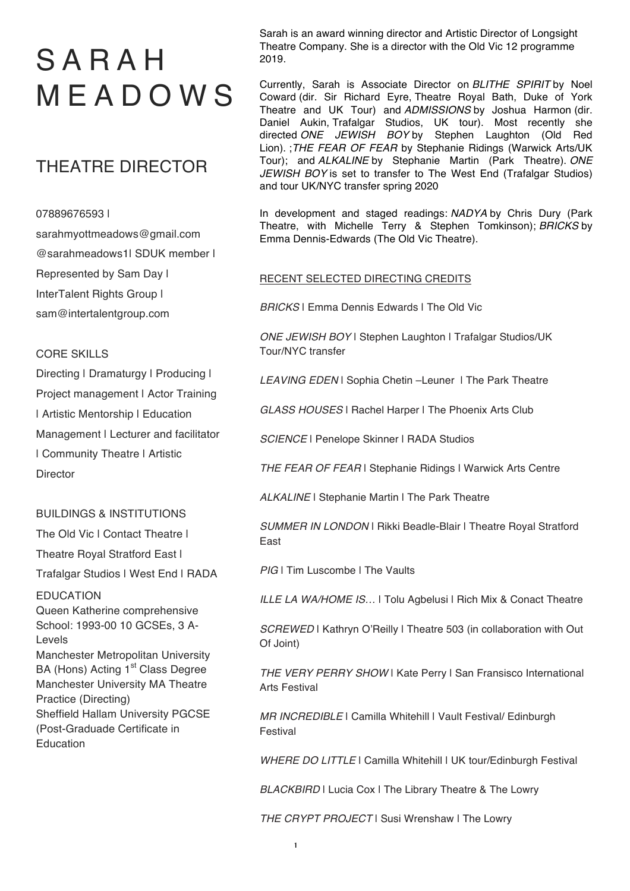# SARAH MEADOWS

## THEATRE DIRECTOR

### 07889676593 |

sarahmyottmeadows@gmail.com @sarahmeadows1| SDUK member | Represented by Sam Day | InterTalent Rights Group | sam@intertalentgroup.com

### CORE SKILLS

Directing | Dramaturgy | Producing | Project management | Actor Training | Artistic Mentorship | Education Management I Lecturer and facilitator | Community Theatre | Artistic **Director** 

## BUILDINGS & INSTITUTIONS

The Old Vic I Contact Theatre I

Theatre Royal Stratford East |

Trafalgar Studios | West End | RADA

EDUCATION Queen Katherine comprehensive School: 1993-00 10 GCSEs, 3 A-Levels

Manchester Metropolitan University BA (Hons) Acting 1<sup>st</sup> Class Degree Manchester University MA Theatre Practice (Directing) Sheffield Hallam University PGCSE (Post-Graduade Certificate in Education

Sarah is an award winning director and Artistic Director of Longsight Theatre Company. She is a director with the Old Vic 12 programme 2019.

Currently, Sarah is Associate Director on *BLITHE SPIRIT* by Noel Coward (dir. Sir Richard Eyre, Theatre Royal Bath, Duke of York Theatre and UK Tour) and *ADMISSIONS* by Joshua Harmon (dir. Daniel Aukin, Trafalgar Studios, UK tour). Most recently she directed *ONE JEWISH BOY* by Stephen Laughton (Old Red Lion). ;*THE FEAR OF FEAR* by Stephanie Ridings (Warwick Arts/UK Tour); and *ALKALINE* by Stephanie Martin (Park Theatre). *ONE JEWISH BOY* is set to transfer to The West End (Trafalgar Studios) and tour UK/NYC transfer spring 2020

In development and staged readings: *NADYA* by Chris Dury (Park Theatre, with Michelle Terry & Stephen Tomkinson); *BRICKS* by Emma Dennis-Edwards (The Old Vic Theatre).

### RECENT SELECTED DIRECTING CREDITS

*BRICKS* | Emma Dennis Edwards | The Old Vic

*ONE JEWISH BOY* | Stephen Laughton | Trafalgar Studios/UK Tour/NYC transfer

*LEAVING EDEN* | Sophia Chetin –Leuner | The Park Theatre

*GLASS HOUSES* | Rachel Harper | The Phoenix Arts Club

*SCIENCE* | Penelope Skinner | RADA Studios

*THE FEAR OF FEAR* | Stephanie Ridings | Warwick Arts Centre

*ALKALINE* | Stephanie Martin | The Park Theatre

*SUMMER IN LONDON* | Rikki Beadle-Blair | Theatre Royal Stratford East

*PIG* | Tim Luscombe | The Vaults

*ILLE LA WA/HOME IS…* | Tolu Agbelusi | Rich Mix & Conact Theatre

**SCREWED** | Kathryn O'Reilly | Theatre 503 (in collaboration with Out Of Joint)

*THE VERY PERRY SHOW* | Kate Perry | San Fransisco International Arts Festival

*MR INCREDIBLE* | Camilla Whitehill | Vault Festival/ Edinburgh Festival

*WHERE DO LITTLE* | Camilla Whitehill | UK tour/Edinburgh Festival

**BLACKBIRD** | Lucia Cox | The Library Theatre & The Lowry

*THE CRYPT PROJECT* | Susi Wrenshaw | The Lowry